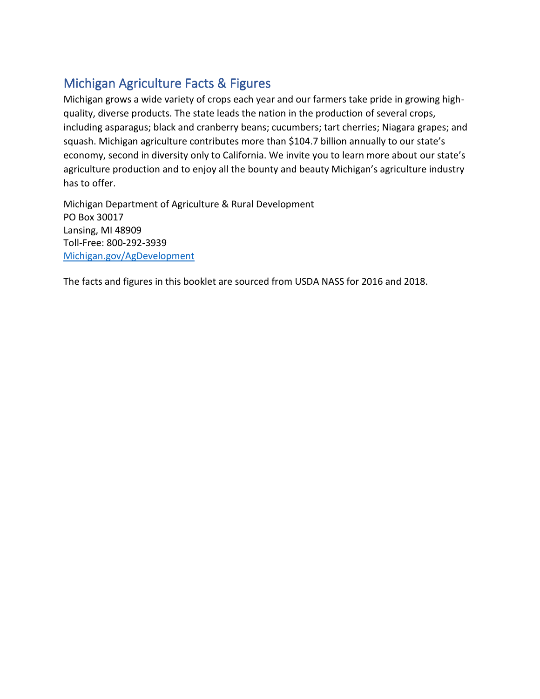# <span id="page-0-0"></span>Michigan Agriculture Facts & Figures

Michigan grows a wide variety of crops each year and our farmers take pride in growing highquality, diverse products. The state leads the nation in the production of several crops, including asparagus; black and cranberry beans; cucumbers; tart cherries; Niagara grapes; and squash. Michigan agriculture contributes more than \$104.7 billion annually to our state's economy, second in diversity only to California. We invite you to learn more about our state's agriculture production and to enjoy all the bounty and beauty Michigan's agriculture industry has to offer.

Michigan Department of Agriculture & Rural Development PO Box 30017 Lansing, MI 48909 Toll-Free: 800-292-3939 [Michigan.gov/AgDevelopment](http://www.michigan.gov/AgDevelopment)

The facts and figures in this booklet are sourced from USDA NASS for 2016 and 2018.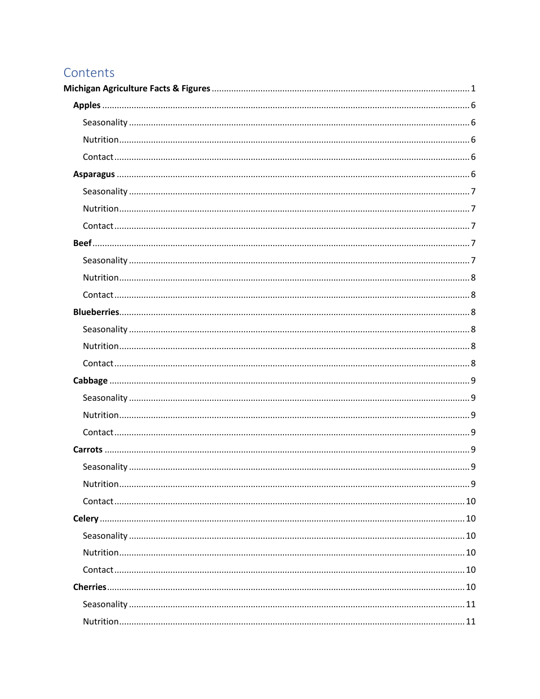# Contents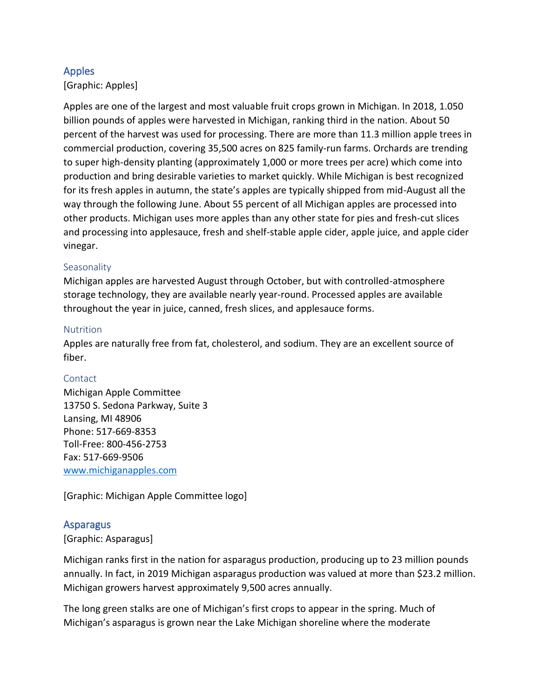# <span id="page-5-0"></span>Apples

[Graphic: Apples]

Apples are one of the largest and most valuable fruit crops grown in Michigan. In 2018, 1.050 billion pounds of apples were harvested in Michigan, ranking third in the nation. About 50 percent of the harvest was used for processing. There are more than 11.3 million apple trees in commercial production, covering 35,500 acres on 825 family-run farms. Orchards are trending to super high-density planting (approximately 1,000 or more trees per acre) which come into production and bring desirable varieties to market quickly. While Michigan is best recognized for its fresh apples in autumn, the state's apples are typically shipped from mid-August all the way through the following June. About 55 percent of all Michigan apples are processed into other products. Michigan uses more apples than any other state for pies and fresh-cut slices and processing into applesauce, fresh and shelf-stable apple cider, apple juice, and apple cider vinegar.

## <span id="page-5-1"></span>Seasonality

Michigan apples are harvested August through October, but with controlled-atmosphere storage technology, they are available nearly year-round. Processed apples are available throughout the year in juice, canned, fresh slices, and applesauce forms.

## <span id="page-5-2"></span>Nutrition

Apples are naturally free from fat, cholesterol, and sodium. They are an excellent source of fiber.

# <span id="page-5-3"></span>Contact

Michigan Apple Committee 13750 S. Sedona Parkway, Suite 3 Lansing, MI 48906 Phone: 517-669-8353 Toll-Free: 800-456-2753 Fax: 517-669-9506 [www.michiganapples.com](http://www.michiganapples.com/)

[Graphic: Michigan Apple Committee logo]

# <span id="page-5-4"></span>**Asparagus**

# [Graphic: Asparagus]

Michigan ranks first in the nation for asparagus production, producing up to 23 million pounds annually. In fact, in 2019 Michigan asparagus production was valued at more than \$23.2 million. Michigan growers harvest approximately 9,500 acres annually.

The long green stalks are one of Michigan's first crops to appear in the spring. Much of Michigan's asparagus is grown near the Lake Michigan shoreline where the moderate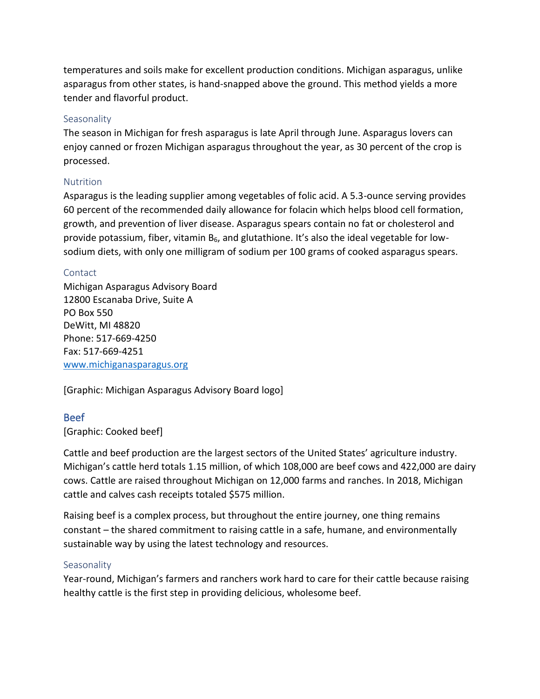temperatures and soils make for excellent production conditions. Michigan asparagus, unlike asparagus from other states, is hand-snapped above the ground. This method yields a more tender and flavorful product.

## <span id="page-6-0"></span>**Seasonality**

The season in Michigan for fresh asparagus is late April through June. Asparagus lovers can enjoy canned or frozen Michigan asparagus throughout the year, as 30 percent of the crop is processed.

## <span id="page-6-1"></span>**Nutrition**

Asparagus is the leading supplier among vegetables of folic acid. A 5.3-ounce serving provides 60 percent of the recommended daily allowance for folacin which helps blood cell formation, growth, and prevention of liver disease. Asparagus spears contain no fat or cholesterol and provide potassium, fiber, vitamin B<sub>6</sub>, and glutathione. It's also the ideal vegetable for lowsodium diets, with only one milligram of sodium per 100 grams of cooked asparagus spears.

## <span id="page-6-2"></span>Contact

Michigan Asparagus Advisory Board 12800 Escanaba Drive, Suite A PO Box 550 DeWitt, MI 48820 Phone: 517-669-4250 Fax: 517-669-4251 [www.michiganasparagus.org](http://www.michiganasparagus.org/)

[Graphic: Michigan Asparagus Advisory Board logo]

# <span id="page-6-3"></span>Beef

# [Graphic: Cooked beef]

Cattle and beef production are the largest sectors of the United States' agriculture industry. Michigan's cattle herd totals 1.15 million, of which 108,000 are beef cows and 422,000 are dairy cows. Cattle are raised throughout Michigan on 12,000 farms and ranches. In 2018, Michigan cattle and calves cash receipts totaled \$575 million.

Raising beef is a complex process, but throughout the entire journey, one thing remains constant – the shared commitment to raising cattle in a safe, humane, and environmentally sustainable way by using the latest technology and resources.

## <span id="page-6-4"></span>Seasonality

Year-round, Michigan's farmers and ranchers work hard to care for their cattle because raising healthy cattle is the first step in providing delicious, wholesome beef.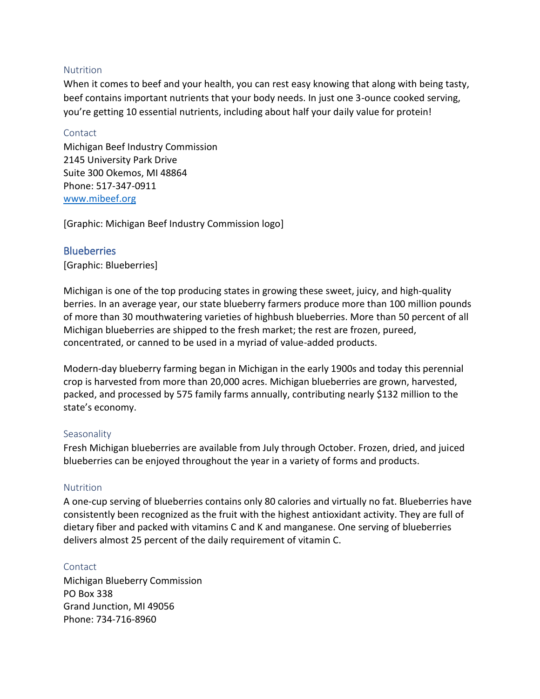#### <span id="page-7-0"></span>Nutrition

When it comes to beef and your health, you can rest easy knowing that along with being tasty, beef contains important nutrients that your body needs. In just one 3-ounce cooked serving, you're getting 10 essential nutrients, including about half your daily value for protein!

#### <span id="page-7-1"></span>**Contact**

Michigan Beef Industry Commission 2145 University Park Drive Suite 300 Okemos, MI 48864 Phone: 517-347-0911 [www.mibeef.org](http://www.mibeef.org/)

[Graphic: Michigan Beef Industry Commission logo]

## <span id="page-7-2"></span>**Blueberries**

[Graphic: Blueberries]

Michigan is one of the top producing states in growing these sweet, juicy, and high-quality berries. In an average year, our state blueberry farmers produce more than 100 million pounds of more than 30 mouthwatering varieties of highbush blueberries. More than 50 percent of all Michigan blueberries are shipped to the fresh market; the rest are frozen, pureed, concentrated, or canned to be used in a myriad of value-added products.

Modern-day blueberry farming began in Michigan in the early 1900s and today this perennial crop is harvested from more than 20,000 acres. Michigan blueberries are grown, harvested, packed, and processed by 575 family farms annually, contributing nearly \$132 million to the state's economy.

## <span id="page-7-3"></span>**Seasonality**

Fresh Michigan blueberries are available from July through October. Frozen, dried, and juiced blueberries can be enjoyed throughout the year in a variety of forms and products.

## <span id="page-7-4"></span>**Nutrition**

A one-cup serving of blueberries contains only 80 calories and virtually no fat. Blueberries have consistently been recognized as the fruit with the highest antioxidant activity. They are full of dietary fiber and packed with vitamins C and K and manganese. One serving of blueberries delivers almost 25 percent of the daily requirement of vitamin C.

## <span id="page-7-5"></span>**Contact**

Michigan Blueberry Commission PO Box 338 Grand Junction, MI 49056 Phone: 734-716-8960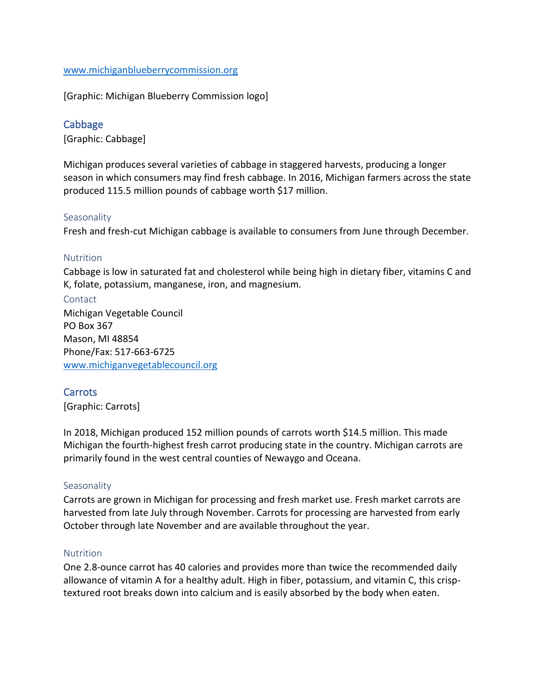## [www.michiganblueberrycommission.org](http://www.michiganblueberrycommission.org/)

[Graphic: Michigan Blueberry Commission logo]

## <span id="page-8-0"></span>**Cabbage**

[Graphic: Cabbage]

Michigan produces several varieties of cabbage in staggered harvests, producing a longer season in which consumers may find fresh cabbage. In 2016, Michigan farmers across the state produced 115.5 million pounds of cabbage worth \$17 million.

#### <span id="page-8-1"></span>**Seasonality**

Fresh and fresh-cut Michigan cabbage is available to consumers from June through December.

#### <span id="page-8-2"></span>Nutrition

Cabbage is low in saturated fat and cholesterol while being high in dietary fiber, vitamins C and K, folate, potassium, manganese, iron, and magnesium.

<span id="page-8-3"></span>**Contact** Michigan Vegetable Council PO Box 367 Mason, MI 48854 Phone/Fax: 517-663-6725 [www.michiganvegetablecouncil.org](http://www.michiganvegetablecouncil.org/)

## <span id="page-8-4"></span>Carrots

[Graphic: Carrots]

In 2018, Michigan produced 152 million pounds of carrots worth \$14.5 million. This made Michigan the fourth-highest fresh carrot producing state in the country. Michigan carrots are primarily found in the west central counties of Newaygo and Oceana.

#### <span id="page-8-5"></span>**Seasonality**

Carrots are grown in Michigan for processing and fresh market use. Fresh market carrots are harvested from late July through November. Carrots for processing are harvested from early October through late November and are available throughout the year.

#### <span id="page-8-6"></span>**Nutrition**

One 2.8-ounce carrot has 40 calories and provides more than twice the recommended daily allowance of vitamin A for a healthy adult. High in fiber, potassium, and vitamin C, this crisptextured root breaks down into calcium and is easily absorbed by the body when eaten.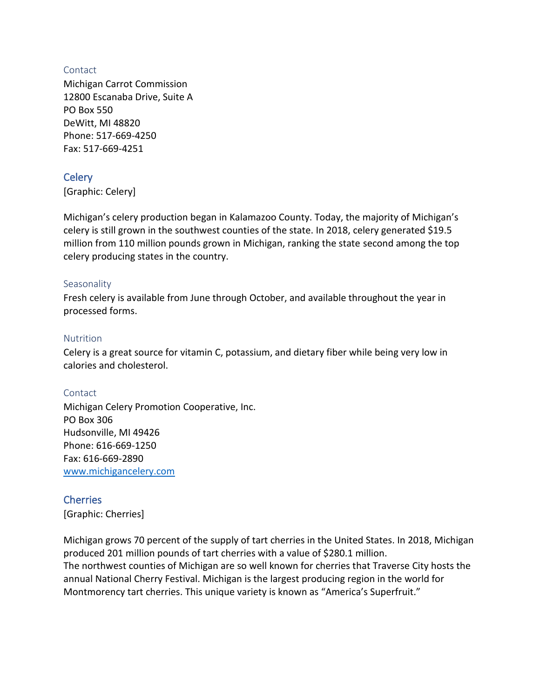## <span id="page-9-0"></span>**Contact**

Michigan Carrot Commission 12800 Escanaba Drive, Suite A PO Box 550 DeWitt, MI 48820 Phone: 517-669-4250 Fax: 517-669-4251

# <span id="page-9-1"></span>**Celery**

[Graphic: Celery]

Michigan's celery production began in Kalamazoo County. Today, the majority of Michigan's celery is still grown in the southwest counties of the state. In 2018, celery generated \$19.5 million from 110 million pounds grown in Michigan, ranking the state second among the top celery producing states in the country.

## <span id="page-9-2"></span>**Seasonality**

Fresh celery is available from June through October, and available throughout the year in processed forms.

## <span id="page-9-3"></span>**Nutrition**

Celery is a great source for vitamin C, potassium, and dietary fiber while being very low in calories and cholesterol.

# <span id="page-9-4"></span>Contact

Michigan Celery Promotion Cooperative, Inc. PO Box 306 Hudsonville, MI 49426 Phone: 616-669-1250 Fax: 616-669-2890 [www.michigancelery.com](http://www.michigancelery.com/)

# <span id="page-9-5"></span>**Cherries**

[Graphic: Cherries]

Michigan grows 70 percent of the supply of tart cherries in the United States. In 2018, Michigan produced 201 million pounds of tart cherries with a value of \$280.1 million. The northwest counties of Michigan are so well known for cherries that Traverse City hosts the annual National Cherry Festival. Michigan is the largest producing region in the world for Montmorency tart cherries. This unique variety is known as "America's Superfruit."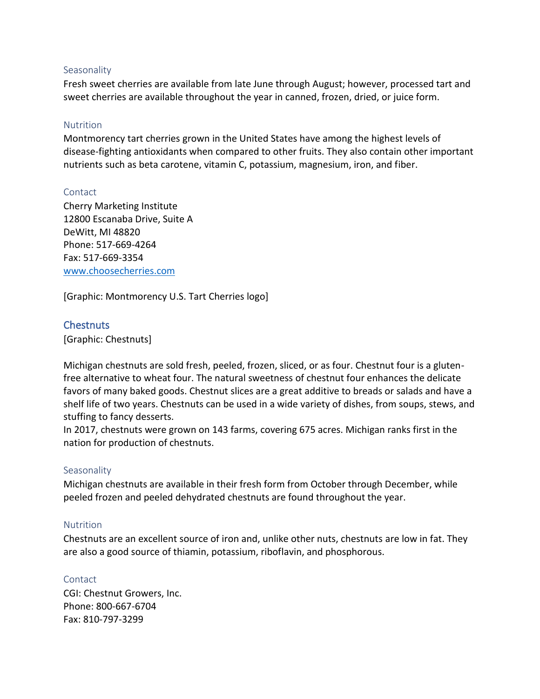#### <span id="page-10-0"></span>Seasonality

Fresh sweet cherries are available from late June through August; however, processed tart and sweet cherries are available throughout the year in canned, frozen, dried, or juice form.

#### <span id="page-10-1"></span>Nutrition

Montmorency tart cherries grown in the United States have among the highest levels of disease-fighting antioxidants when compared to other fruits. They also contain other important nutrients such as beta carotene, vitamin C, potassium, magnesium, iron, and fiber.

#### <span id="page-10-2"></span>Contact

Cherry Marketing Institute 12800 Escanaba Drive, Suite A DeWitt, MI 48820 Phone: 517-669-4264 Fax: 517-669-3354 [www.choosecherries.com](http://www.choosecherries.com/)

[Graphic: Montmorency U.S. Tart Cherries logo]

## <span id="page-10-3"></span>**Chestnuts**

[Graphic: Chestnuts]

Michigan chestnuts are sold fresh, peeled, frozen, sliced, or as four. Chestnut four is a glutenfree alternative to wheat four. The natural sweetness of chestnut four enhances the delicate favors of many baked goods. Chestnut slices are a great additive to breads or salads and have a shelf life of two years. Chestnuts can be used in a wide variety of dishes, from soups, stews, and stuffing to fancy desserts.

In 2017, chestnuts were grown on 143 farms, covering 675 acres. Michigan ranks first in the nation for production of chestnuts.

## <span id="page-10-4"></span>**Seasonality**

Michigan chestnuts are available in their fresh form from October through December, while peeled frozen and peeled dehydrated chestnuts are found throughout the year.

## <span id="page-10-5"></span>**Nutrition**

Chestnuts are an excellent source of iron and, unlike other nuts, chestnuts are low in fat. They are also a good source of thiamin, potassium, riboflavin, and phosphorous.

## <span id="page-10-6"></span>**Contact**

CGI: Chestnut Growers, Inc. Phone: 800-667-6704 Fax: 810-797-3299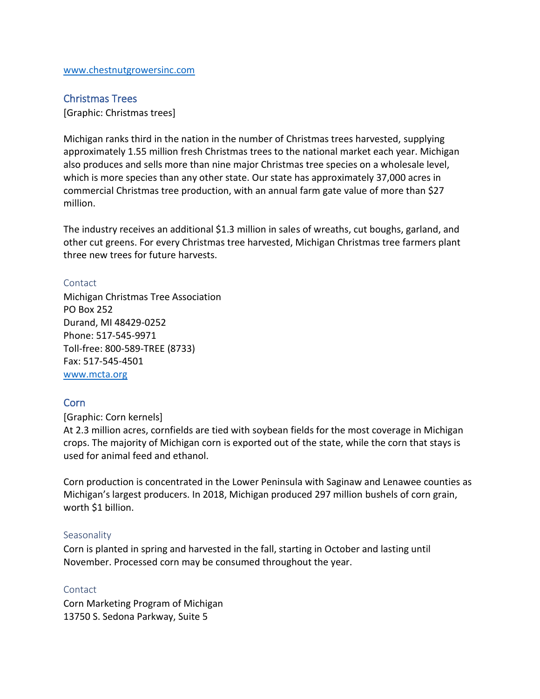## <span id="page-11-0"></span>Christmas Trees

[Graphic: Christmas trees]

Michigan ranks third in the nation in the number of Christmas trees harvested, supplying approximately 1.55 million fresh Christmas trees to the national market each year. Michigan also produces and sells more than nine major Christmas tree species on a wholesale level, which is more species than any other state. Our state has approximately 37,000 acres in commercial Christmas tree production, with an annual farm gate value of more than \$27 million.

The industry receives an additional \$1.3 million in sales of wreaths, cut boughs, garland, and other cut greens. For every Christmas tree harvested, Michigan Christmas tree farmers plant three new trees for future harvests.

#### <span id="page-11-1"></span>Contact

Michigan Christmas Tree Association PO Box 252 Durand, MI 48429-0252 Phone: 517-545-9971 Toll-free: 800-589-TREE (8733) Fax: 517-545-4501 [www.mcta.org](http://www.mcta.org/)

## <span id="page-11-2"></span>Corn

[Graphic: Corn kernels]

At 2.3 million acres, cornfields are tied with soybean fields for the most coverage in Michigan crops. The majority of Michigan corn is exported out of the state, while the corn that stays is used for animal feed and ethanol.

Corn production is concentrated in the Lower Peninsula with Saginaw and Lenawee counties as Michigan's largest producers. In 2018, Michigan produced 297 million bushels of corn grain, worth \$1 billion.

#### <span id="page-11-3"></span>**Seasonality**

Corn is planted in spring and harvested in the fall, starting in October and lasting until November. Processed corn may be consumed throughout the year.

#### <span id="page-11-4"></span>**Contact**

Corn Marketing Program of Michigan 13750 S. Sedona Parkway, Suite 5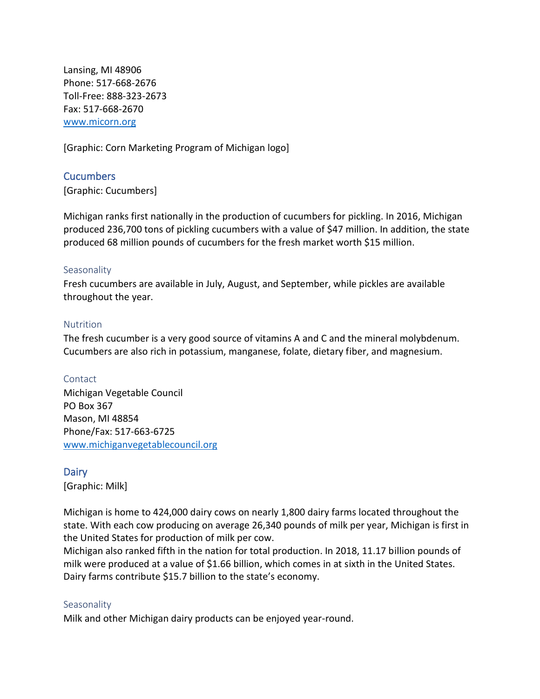Lansing, MI 48906 Phone: 517-668-2676 Toll-Free: 888-323-2673 Fax: 517-668-2670 [www.micorn.org](http://www.micorn.org/)

[Graphic: Corn Marketing Program of Michigan logo]

<span id="page-12-0"></span>Cucumbers [Graphic: Cucumbers]

Michigan ranks first nationally in the production of cucumbers for pickling. In 2016, Michigan produced 236,700 tons of pickling cucumbers with a value of \$47 million. In addition, the state produced 68 million pounds of cucumbers for the fresh market worth \$15 million.

#### <span id="page-12-1"></span>**Seasonality**

Fresh cucumbers are available in July, August, and September, while pickles are available throughout the year.

#### <span id="page-12-2"></span>**Nutrition**

The fresh cucumber is a very good source of vitamins A and C and the mineral molybdenum. Cucumbers are also rich in potassium, manganese, folate, dietary fiber, and magnesium.

## <span id="page-12-3"></span>Contact

Michigan Vegetable Council PO Box 367 Mason, MI 48854 Phone/Fax: 517-663-6725 [www.michiganvegetablecouncil.org](http://www.michiganvegetablecouncil.org/)

## <span id="page-12-4"></span>**Dairy**

[Graphic: Milk]

Michigan is home to 424,000 dairy cows on nearly 1,800 dairy farms located throughout the state. With each cow producing on average 26,340 pounds of milk per year, Michigan is first in the United States for production of milk per cow.

Michigan also ranked fifth in the nation for total production. In 2018, 11.17 billion pounds of milk were produced at a value of \$1.66 billion, which comes in at sixth in the United States. Dairy farms contribute \$15.7 billion to the state's economy.

#### <span id="page-12-5"></span>**Seasonality**

Milk and other Michigan dairy products can be enjoyed year-round.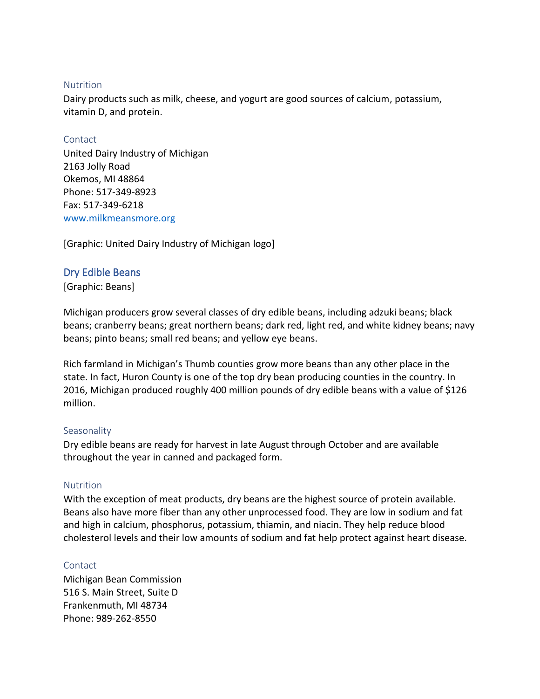#### <span id="page-13-0"></span>**Nutrition**

Dairy products such as milk, cheese, and yogurt are good sources of calcium, potassium, vitamin D, and protein.

#### <span id="page-13-1"></span>Contact

United Dairy Industry of Michigan 2163 Jolly Road Okemos, MI 48864 Phone: 517-349-8923 Fax: 517-349-6218 [www.milkmeansmore.org](http://www.milkmeansmore.org/)

[Graphic: United Dairy Industry of Michigan logo]

# <span id="page-13-2"></span>Dry Edible Beans

[Graphic: Beans]

Michigan producers grow several classes of dry edible beans, including adzuki beans; black beans; cranberry beans; great northern beans; dark red, light red, and white kidney beans; navy beans; pinto beans; small red beans; and yellow eye beans.

Rich farmland in Michigan's Thumb counties grow more beans than any other place in the state. In fact, Huron County is one of the top dry bean producing counties in the country. In 2016, Michigan produced roughly 400 million pounds of dry edible beans with a value of \$126 million.

## <span id="page-13-3"></span>**Seasonality**

Dry edible beans are ready for harvest in late August through October and are available throughout the year in canned and packaged form.

## <span id="page-13-4"></span>**Nutrition**

With the exception of meat products, dry beans are the highest source of protein available. Beans also have more fiber than any other unprocessed food. They are low in sodium and fat and high in calcium, phosphorus, potassium, thiamin, and niacin. They help reduce blood cholesterol levels and their low amounts of sodium and fat help protect against heart disease.

## <span id="page-13-5"></span>Contact

Michigan Bean Commission 516 S. Main Street, Suite D Frankenmuth, MI 48734 Phone: 989-262-8550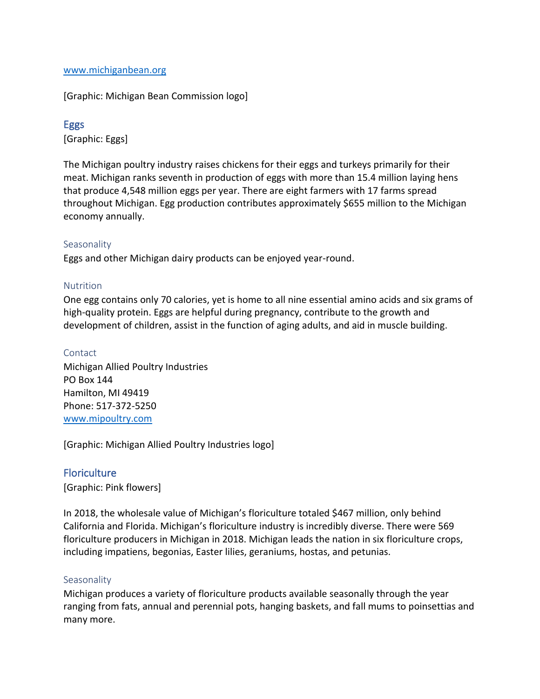#### [www.michiganbean.org](http://www.michiganbean.org/)

[Graphic: Michigan Bean Commission logo]

# <span id="page-14-0"></span>Eggs

[Graphic: Eggs]

The Michigan poultry industry raises chickens for their eggs and turkeys primarily for their meat. Michigan ranks seventh in production of eggs with more than 15.4 million laying hens that produce 4,548 million eggs per year. There are eight farmers with 17 farms spread throughout Michigan. Egg production contributes approximately \$655 million to the Michigan economy annually.

## <span id="page-14-1"></span>**Seasonality**

Eggs and other Michigan dairy products can be enjoyed year-round.

## <span id="page-14-2"></span>Nutrition

One egg contains only 70 calories, yet is home to all nine essential amino acids and six grams of high-quality protein. Eggs are helpful during pregnancy, contribute to the growth and development of children, assist in the function of aging adults, and aid in muscle building.

#### <span id="page-14-3"></span>Contact

Michigan Allied Poultry Industries PO Box 144 Hamilton, MI 49419 Phone: 517-372-5250 [www.mipoultry.com](http://www.mipoultry.com/)

[Graphic: Michigan Allied Poultry Industries logo]

# <span id="page-14-4"></span>**Floriculture**

[Graphic: Pink flowers]

In 2018, the wholesale value of Michigan's floriculture totaled \$467 million, only behind California and Florida. Michigan's floriculture industry is incredibly diverse. There were 569 floriculture producers in Michigan in 2018. Michigan leads the nation in six floriculture crops, including impatiens, begonias, Easter lilies, geraniums, hostas, and petunias.

## <span id="page-14-5"></span>**Seasonality**

Michigan produces a variety of floriculture products available seasonally through the year ranging from fats, annual and perennial pots, hanging baskets, and fall mums to poinsettias and many more.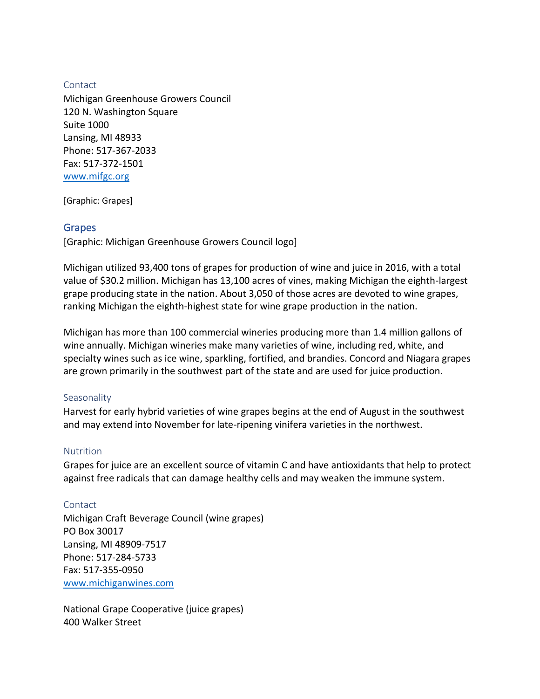#### <span id="page-15-0"></span>Contact

Michigan Greenhouse Growers Council 120 N. Washington Square Suite 1000 Lansing, MI 48933 Phone: 517-367-2033 Fax: 517-372-1501 [www.mifgc.org](http://www.mifgc.org/)

[Graphic: Grapes]

## <span id="page-15-1"></span>Grapes

[Graphic: Michigan Greenhouse Growers Council logo]

Michigan utilized 93,400 tons of grapes for production of wine and juice in 2016, with a total value of \$30.2 million. Michigan has 13,100 acres of vines, making Michigan the eighth-largest grape producing state in the nation. About 3,050 of those acres are devoted to wine grapes, ranking Michigan the eighth-highest state for wine grape production in the nation.

Michigan has more than 100 commercial wineries producing more than 1.4 million gallons of wine annually. Michigan wineries make many varieties of wine, including red, white, and specialty wines such as ice wine, sparkling, fortified, and brandies. Concord and Niagara grapes are grown primarily in the southwest part of the state and are used for juice production.

## <span id="page-15-2"></span>**Seasonality**

Harvest for early hybrid varieties of wine grapes begins at the end of August in the southwest and may extend into November for late-ripening vinifera varieties in the northwest.

## <span id="page-15-3"></span>Nutrition

Grapes for juice are an excellent source of vitamin C and have antioxidants that help to protect against free radicals that can damage healthy cells and may weaken the immune system.

## <span id="page-15-4"></span>Contact

Michigan Craft Beverage Council (wine grapes) PO Box 30017 Lansing, MI 48909-7517 Phone: 517-284-5733 Fax: 517-355-0950 [www.michiganwines.com](http://www.michiganwines.com/)

National Grape Cooperative (juice grapes) 400 Walker Street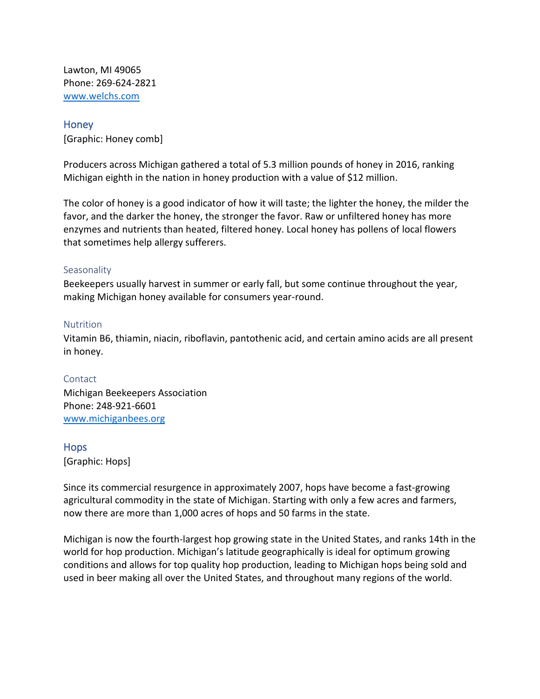Lawton, MI 49065 Phone: 269-624-2821 [www.welchs.com](http://www.welchs.com/)

#### <span id="page-16-0"></span>Honey

[Graphic: Honey comb]

Producers across Michigan gathered a total of 5.3 million pounds of honey in 2016, ranking Michigan eighth in the nation in honey production with a value of \$12 million.

The color of honey is a good indicator of how it will taste; the lighter the honey, the milder the favor, and the darker the honey, the stronger the favor. Raw or unfiltered honey has more enzymes and nutrients than heated, filtered honey. Local honey has pollens of local flowers that sometimes help allergy sufferers.

#### <span id="page-16-1"></span>**Seasonality**

Beekeepers usually harvest in summer or early fall, but some continue throughout the year, making Michigan honey available for consumers year-round.

#### <span id="page-16-2"></span>**Nutrition**

Vitamin B6, thiamin, niacin, riboflavin, pantothenic acid, and certain amino acids are all present in honey.

## <span id="page-16-3"></span>Contact

Michigan Beekeepers Association Phone: 248-921-6601 [www.michiganbees.org](http://www.michiganbees.org/)

## <span id="page-16-4"></span>Hops

[Graphic: Hops]

Since its commercial resurgence in approximately 2007, hops have become a fast-growing agricultural commodity in the state of Michigan. Starting with only a few acres and farmers, now there are more than 1,000 acres of hops and 50 farms in the state.

Michigan is now the fourth-largest hop growing state in the United States, and ranks 14th in the world for hop production. Michigan's latitude geographically is ideal for optimum growing conditions and allows for top quality hop production, leading to Michigan hops being sold and used in beer making all over the United States, and throughout many regions of the world.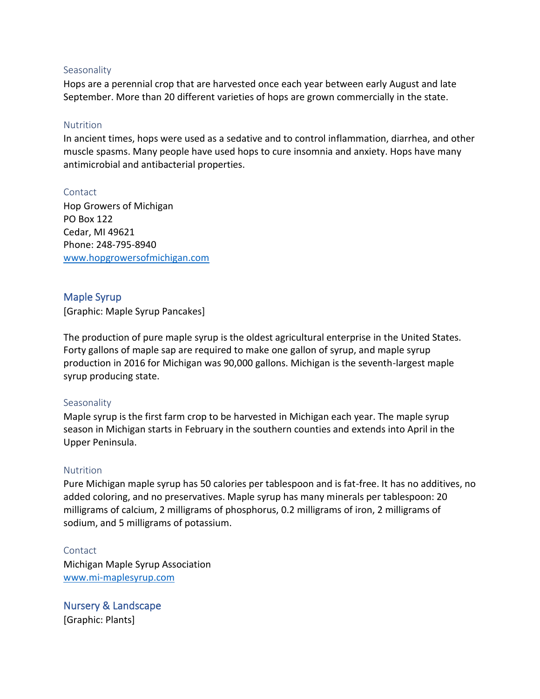#### <span id="page-17-0"></span>**Seasonality**

Hops are a perennial crop that are harvested once each year between early August and late September. More than 20 different varieties of hops are grown commercially in the state.

#### <span id="page-17-1"></span>Nutrition

In ancient times, hops were used as a sedative and to control inflammation, diarrhea, and other muscle spasms. Many people have used hops to cure insomnia and anxiety. Hops have many antimicrobial and antibacterial properties.

<span id="page-17-2"></span>Contact Hop Growers of Michigan PO Box 122 Cedar, MI 49621 Phone: 248-795-8940 [www.hopgrowersofmichigan.com](http://www.hopgrowersofmichigan.com/)

# <span id="page-17-3"></span>Maple Syrup

[Graphic: Maple Syrup Pancakes]

The production of pure maple syrup is the oldest agricultural enterprise in the United States. Forty gallons of maple sap are required to make one gallon of syrup, and maple syrup production in 2016 for Michigan was 90,000 gallons. Michigan is the seventh-largest maple syrup producing state.

## <span id="page-17-4"></span>Seasonality

Maple syrup is the first farm crop to be harvested in Michigan each year. The maple syrup season in Michigan starts in February in the southern counties and extends into April in the Upper Peninsula.

## <span id="page-17-5"></span>**Nutrition**

Pure Michigan maple syrup has 50 calories per tablespoon and is fat-free. It has no additives, no added coloring, and no preservatives. Maple syrup has many minerals per tablespoon: 20 milligrams of calcium, 2 milligrams of phosphorus, 0.2 milligrams of iron, 2 milligrams of sodium, and 5 milligrams of potassium.

<span id="page-17-6"></span>Contact Michigan Maple Syrup Association [www.mi-maplesyrup.com](http://www.mi-maplesyrup.com/)

<span id="page-17-7"></span>Nursery & Landscape [Graphic: Plants]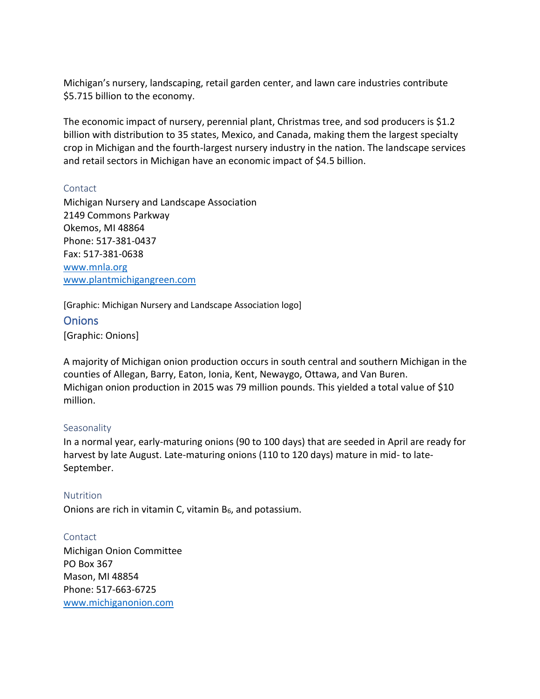Michigan's nursery, landscaping, retail garden center, and lawn care industries contribute \$5.715 billion to the economy.

The economic impact of nursery, perennial plant, Christmas tree, and sod producers is \$1.2 billion with distribution to 35 states, Mexico, and Canada, making them the largest specialty crop in Michigan and the fourth-largest nursery industry in the nation. The landscape services and retail sectors in Michigan have an economic impact of \$4.5 billion.

#### <span id="page-18-0"></span>**Contact**

Michigan Nursery and Landscape Association 2149 Commons Parkway Okemos, MI 48864 Phone: 517-381-0437 Fax: 517-381-0638 [www.mnla.org](http://www.mnla.org/) [www.plantmichigangreen.com](http://www.plantmichigangreen.com/)

[Graphic: Michigan Nursery and Landscape Association logo]

<span id="page-18-1"></span>**Onions** [Graphic: Onions]

A majority of Michigan onion production occurs in south central and southern Michigan in the counties of Allegan, Barry, Eaton, Ionia, Kent, Newaygo, Ottawa, and Van Buren. Michigan onion production in 2015 was 79 million pounds. This yielded a total value of \$10 million.

## <span id="page-18-2"></span>**Seasonality**

In a normal year, early-maturing onions (90 to 100 days) that are seeded in April are ready for harvest by late August. Late-maturing onions (110 to 120 days) mature in mid- to late-September.

<span id="page-18-3"></span>Nutrition Onions are rich in vitamin C, vitamin  $B_6$ , and potassium.

<span id="page-18-4"></span>Contact Michigan Onion Committee PO Box 367 Mason, MI 48854 Phone: 517-663-6725 [www.michiganonion.com](http://www.michiganonion.com/)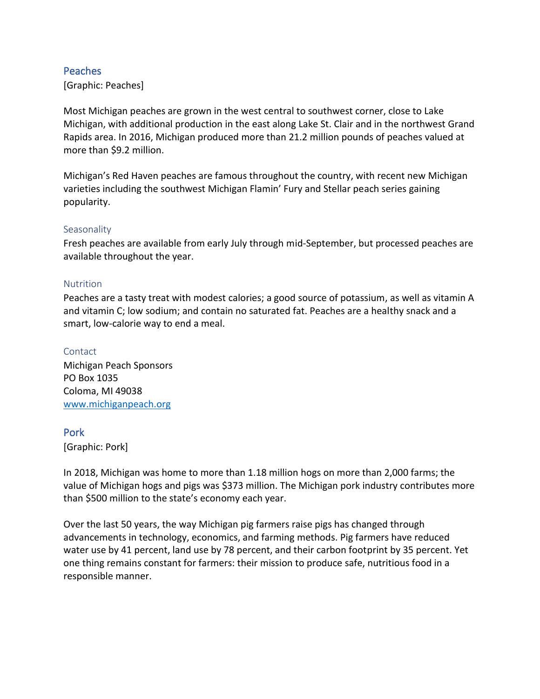# <span id="page-19-0"></span>Peaches

[Graphic: Peaches]

Most Michigan peaches are grown in the west central to southwest corner, close to Lake Michigan, with additional production in the east along Lake St. Clair and in the northwest Grand Rapids area. In 2016, Michigan produced more than 21.2 million pounds of peaches valued at more than \$9.2 million.

Michigan's Red Haven peaches are famous throughout the country, with recent new Michigan varieties including the southwest Michigan Flamin' Fury and Stellar peach series gaining popularity.

#### <span id="page-19-1"></span>**Seasonality**

Fresh peaches are available from early July through mid-September, but processed peaches are available throughout the year.

#### <span id="page-19-2"></span>**Nutrition**

Peaches are a tasty treat with modest calories; a good source of potassium, as well as vitamin A and vitamin C; low sodium; and contain no saturated fat. Peaches are a healthy snack and a smart, low-calorie way to end a meal.

<span id="page-19-3"></span>Contact Michigan Peach Sponsors PO Box 1035 Coloma, MI 49038 [www.michiganpeach.org](http://www.michiganpeach.org/)

## <span id="page-19-4"></span>Pork

[Graphic: Pork]

In 2018, Michigan was home to more than 1.18 million hogs on more than 2,000 farms; the value of Michigan hogs and pigs was \$373 million. The Michigan pork industry contributes more than \$500 million to the state's economy each year.

Over the last 50 years, the way Michigan pig farmers raise pigs has changed through advancements in technology, economics, and farming methods. Pig farmers have reduced water use by 41 percent, land use by 78 percent, and their carbon footprint by 35 percent. Yet one thing remains constant for farmers: their mission to produce safe, nutritious food in a responsible manner.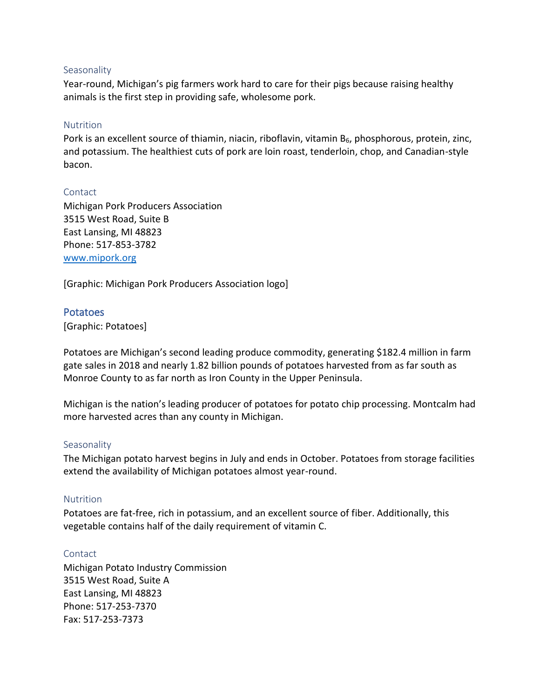#### <span id="page-20-0"></span>**Seasonality**

Year-round, Michigan's pig farmers work hard to care for their pigs because raising healthy animals is the first step in providing safe, wholesome pork.

#### <span id="page-20-1"></span>Nutrition

Pork is an excellent source of thiamin, niacin, riboflavin, vitamin  $B_6$ , phosphorous, protein, zinc, and potassium. The healthiest cuts of pork are loin roast, tenderloin, chop, and Canadian-style bacon.

#### <span id="page-20-2"></span>Contact

Michigan Pork Producers Association 3515 West Road, Suite B East Lansing, MI 48823 Phone: 517-853-3782 [www.mipork.org](http://www.mipork.org/)

[Graphic: Michigan Pork Producers Association logo]

## <span id="page-20-3"></span>Potatoes

[Graphic: Potatoes]

Potatoes are Michigan's second leading produce commodity, generating \$182.4 million in farm gate sales in 2018 and nearly 1.82 billion pounds of potatoes harvested from as far south as Monroe County to as far north as Iron County in the Upper Peninsula.

Michigan is the nation's leading producer of potatoes for potato chip processing. Montcalm had more harvested acres than any county in Michigan.

## <span id="page-20-4"></span>**Seasonality**

The Michigan potato harvest begins in July and ends in October. Potatoes from storage facilities extend the availability of Michigan potatoes almost year-round.

## <span id="page-20-5"></span>**Nutrition**

Potatoes are fat-free, rich in potassium, and an excellent source of fiber. Additionally, this vegetable contains half of the daily requirement of vitamin C.

## <span id="page-20-6"></span>Contact

Michigan Potato Industry Commission 3515 West Road, Suite A East Lansing, MI 48823 Phone: 517-253-7370 Fax: 517-253-7373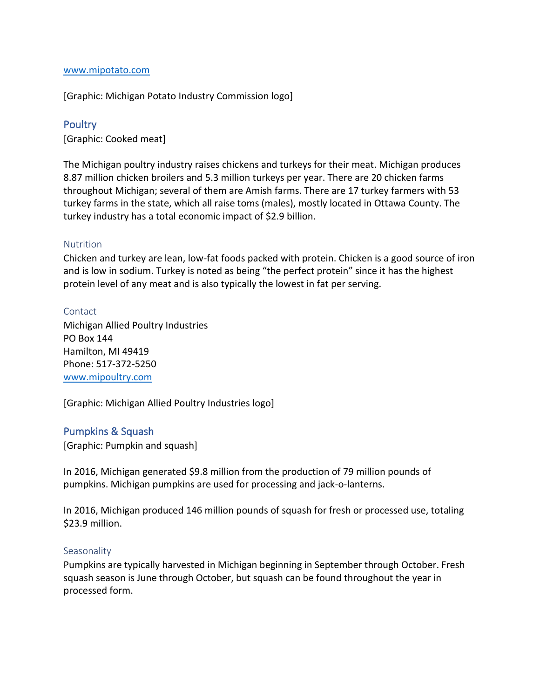#### [www.mipotato.com](http://www.mipotato.com/)

[Graphic: Michigan Potato Industry Commission logo]

#### <span id="page-21-0"></span>**Poultry**

[Graphic: Cooked meat]

The Michigan poultry industry raises chickens and turkeys for their meat. Michigan produces 8.87 million chicken broilers and 5.3 million turkeys per year. There are 20 chicken farms throughout Michigan; several of them are Amish farms. There are 17 turkey farmers with 53 turkey farms in the state, which all raise toms (males), mostly located in Ottawa County. The turkey industry has a total economic impact of \$2.9 billion.

#### <span id="page-21-1"></span>**Nutrition**

Chicken and turkey are lean, low-fat foods packed with protein. Chicken is a good source of iron and is low in sodium. Turkey is noted as being "the perfect protein" since it has the highest protein level of any meat and is also typically the lowest in fat per serving.

#### <span id="page-21-2"></span>Contact

Michigan Allied Poultry Industries PO Box 144 Hamilton, MI 49419 Phone: 517-372-5250 [www.mipoultry.com](http://www.mipoultry.com/)

[Graphic: Michigan Allied Poultry Industries logo]

#### <span id="page-21-3"></span>Pumpkins & Squash

[Graphic: Pumpkin and squash]

In 2016, Michigan generated \$9.8 million from the production of 79 million pounds of pumpkins. Michigan pumpkins are used for processing and jack-o-lanterns.

In 2016, Michigan produced 146 million pounds of squash for fresh or processed use, totaling \$23.9 million.

#### <span id="page-21-4"></span>**Seasonality**

Pumpkins are typically harvested in Michigan beginning in September through October. Fresh squash season is June through October, but squash can be found throughout the year in processed form.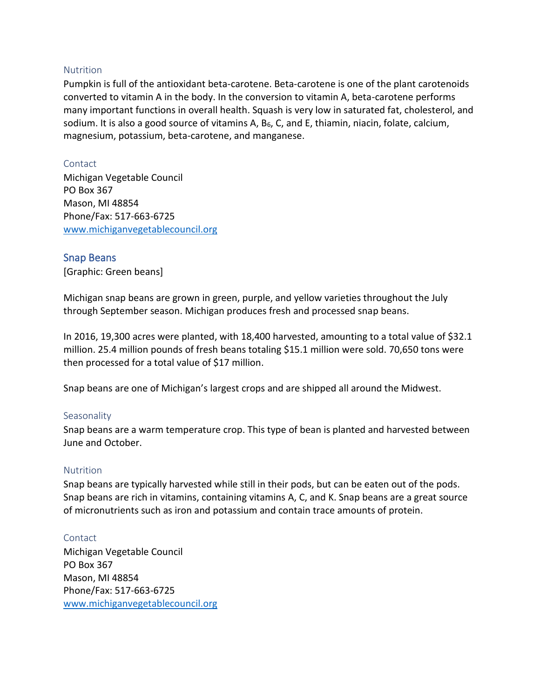#### <span id="page-22-0"></span>Nutrition

Pumpkin is full of the antioxidant beta-carotene. Beta-carotene is one of the plant carotenoids converted to vitamin A in the body. In the conversion to vitamin A, beta-carotene performs many important functions in overall health. Squash is very low in saturated fat, cholesterol, and sodium. It is also a good source of vitamins A,  $B_6$ , C, and E, thiamin, niacin, folate, calcium, magnesium, potassium, beta-carotene, and manganese.

#### <span id="page-22-1"></span>Contact

Michigan Vegetable Council PO Box 367 Mason, MI 48854 Phone/Fax: 517-663-6725 [www.michiganvegetablecouncil.org](http://www.michiganvegetablecouncil.org/)

# <span id="page-22-2"></span>Snap Beans

[Graphic: Green beans]

Michigan snap beans are grown in green, purple, and yellow varieties throughout the July through September season. Michigan produces fresh and processed snap beans.

In 2016, 19,300 acres were planted, with 18,400 harvested, amounting to a total value of \$32.1 million. 25.4 million pounds of fresh beans totaling \$15.1 million were sold. 70,650 tons were then processed for a total value of \$17 million.

Snap beans are one of Michigan's largest crops and are shipped all around the Midwest.

## <span id="page-22-3"></span>**Seasonality**

Snap beans are a warm temperature crop. This type of bean is planted and harvested between June and October.

## <span id="page-22-4"></span>**Nutrition**

Snap beans are typically harvested while still in their pods, but can be eaten out of the pods. Snap beans are rich in vitamins, containing vitamins A, C, and K. Snap beans are a great source of micronutrients such as iron and potassium and contain trace amounts of protein.

## <span id="page-22-5"></span>Contact

Michigan Vegetable Council PO Box 367 Mason, MI 48854 Phone/Fax: 517-663-6725 [www.michiganvegetablecouncil.org](http://www.michiganvegetablecouncil.org/)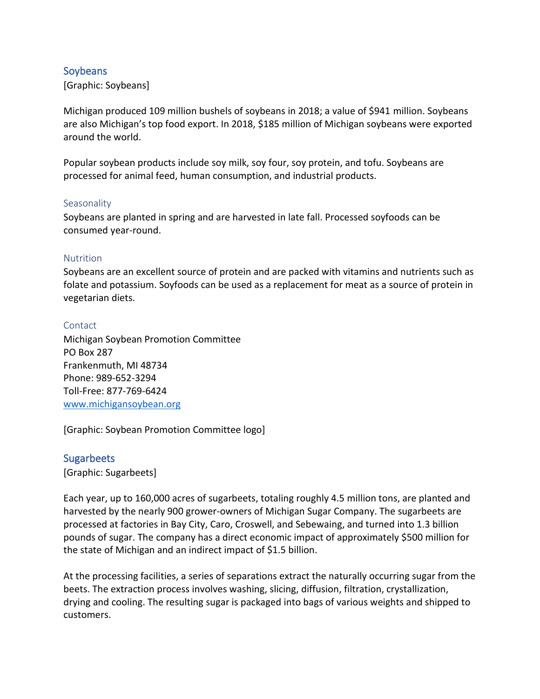# <span id="page-23-0"></span>**Soybeans**

[Graphic: Soybeans]

Michigan produced 109 million bushels of soybeans in 2018; a value of \$941 million. Soybeans are also Michigan's top food export. In 2018, \$185 million of Michigan soybeans were exported around the world.

Popular soybean products include soy milk, soy four, soy protein, and tofu. Soybeans are processed for animal feed, human consumption, and industrial products.

## <span id="page-23-1"></span>**Seasonality**

Soybeans are planted in spring and are harvested in late fall. Processed soyfoods can be consumed year-round.

#### <span id="page-23-2"></span>Nutrition

Soybeans are an excellent source of protein and are packed with vitamins and nutrients such as folate and potassium. Soyfoods can be used as a replacement for meat as a source of protein in vegetarian diets.

#### <span id="page-23-3"></span>**Contact**

Michigan Soybean Promotion Committee PO Box 287 Frankenmuth, MI 48734 Phone: 989-652-3294 Toll-Free: 877-769-6424 [www.michigansoybean.org](http://www.michigansoybean.org/)

[Graphic: Soybean Promotion Committee logo]

## <span id="page-23-4"></span>**Sugarbeets**

[Graphic: Sugarbeets]

Each year, up to 160,000 acres of sugarbeets, totaling roughly 4.5 million tons, are planted and harvested by the nearly 900 grower-owners of Michigan Sugar Company. The sugarbeets are processed at factories in Bay City, Caro, Croswell, and Sebewaing, and turned into 1.3 billion pounds of sugar. The company has a direct economic impact of approximately \$500 million for the state of Michigan and an indirect impact of \$1.5 billion.

At the processing facilities, a series of separations extract the naturally occurring sugar from the beets. The extraction process involves washing, slicing, diffusion, filtration, crystallization, drying and cooling. The resulting sugar is packaged into bags of various weights and shipped to customers.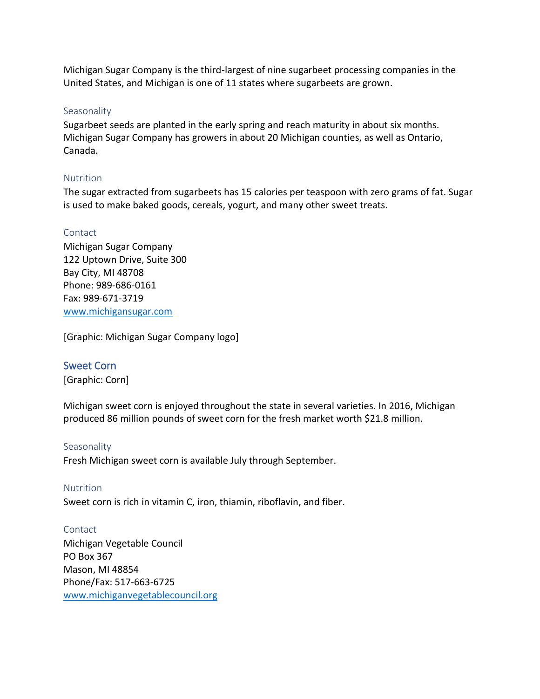Michigan Sugar Company is the third-largest of nine sugarbeet processing companies in the United States, and Michigan is one of 11 states where sugarbeets are grown.

#### <span id="page-24-0"></span>**Seasonality**

Sugarbeet seeds are planted in the early spring and reach maturity in about six months. Michigan Sugar Company has growers in about 20 Michigan counties, as well as Ontario, Canada.

## <span id="page-24-1"></span>Nutrition

The sugar extracted from sugarbeets has 15 calories per teaspoon with zero grams of fat. Sugar is used to make baked goods, cereals, yogurt, and many other sweet treats.

#### <span id="page-24-2"></span>Contact

Michigan Sugar Company 122 Uptown Drive, Suite 300 Bay City, MI 48708 Phone: 989-686-0161 Fax: 989-671-3719 [www.michigansugar.com](http://www.michigansugar.com/)

[Graphic: Michigan Sugar Company logo]

## <span id="page-24-3"></span>Sweet Corn

[Graphic: Corn]

Michigan sweet corn is enjoyed throughout the state in several varieties. In 2016, Michigan produced 86 million pounds of sweet corn for the fresh market worth \$21.8 million.

#### <span id="page-24-4"></span>Seasonality

Fresh Michigan sweet corn is available July through September.

#### <span id="page-24-5"></span>**Nutrition**

Sweet corn is rich in vitamin C, iron, thiamin, riboflavin, and fiber.

#### <span id="page-24-6"></span>**Contact**

Michigan Vegetable Council PO Box 367 Mason, MI 48854 Phone/Fax: 517-663-6725 [www.michiganvegetablecouncil.org](http://www.michiganvegetablecouncil.org/)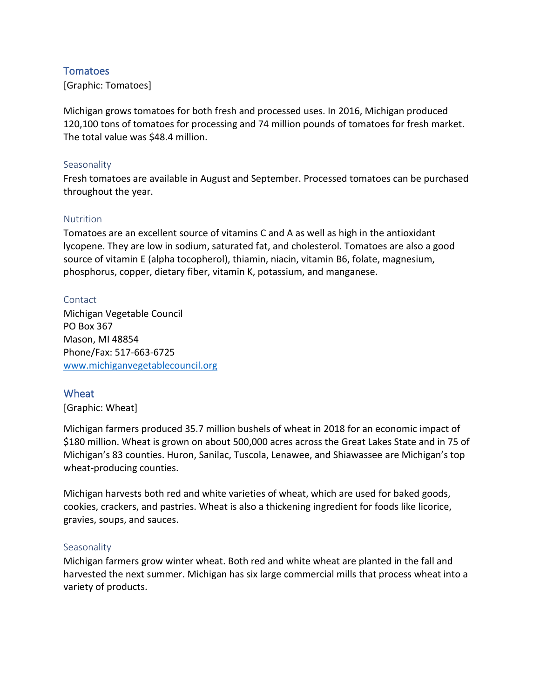# <span id="page-25-0"></span>**Tomatoes**

[Graphic: Tomatoes]

Michigan grows tomatoes for both fresh and processed uses. In 2016, Michigan produced 120,100 tons of tomatoes for processing and 74 million pounds of tomatoes for fresh market. The total value was \$48.4 million.

#### <span id="page-25-1"></span>**Seasonality**

Fresh tomatoes are available in August and September. Processed tomatoes can be purchased throughout the year.

## <span id="page-25-2"></span>**Nutrition**

Tomatoes are an excellent source of vitamins C and A as well as high in the antioxidant lycopene. They are low in sodium, saturated fat, and cholesterol. Tomatoes are also a good source of vitamin E (alpha tocopherol), thiamin, niacin, vitamin B6, folate, magnesium, phosphorus, copper, dietary fiber, vitamin K, potassium, and manganese.

## <span id="page-25-3"></span>Contact

Michigan Vegetable Council PO Box 367 Mason, MI 48854 Phone/Fax: 517-663-6725 [www.michiganvegetablecouncil.org](http://www.michiganvegetablecouncil.org/)

# <span id="page-25-4"></span>Wheat

[Graphic: Wheat]

Michigan farmers produced 35.7 million bushels of wheat in 2018 for an economic impact of \$180 million. Wheat is grown on about 500,000 acres across the Great Lakes State and in 75 of Michigan's 83 counties. Huron, Sanilac, Tuscola, Lenawee, and Shiawassee are Michigan's top wheat-producing counties.

Michigan harvests both red and white varieties of wheat, which are used for baked goods, cookies, crackers, and pastries. Wheat is also a thickening ingredient for foods like licorice, gravies, soups, and sauces.

## <span id="page-25-5"></span>**Seasonality**

Michigan farmers grow winter wheat. Both red and white wheat are planted in the fall and harvested the next summer. Michigan has six large commercial mills that process wheat into a variety of products.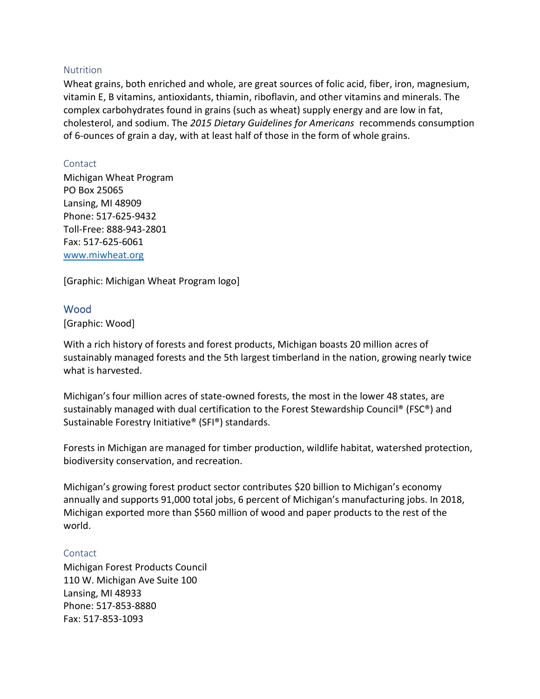#### <span id="page-26-0"></span>Nutrition

Wheat grains, both enriched and whole, are great sources of folic acid, fiber, iron, magnesium, vitamin E, B vitamins, antioxidants, thiamin, riboflavin, and other vitamins and minerals. The complex carbohydrates found in grains (such as wheat) supply energy and are low in fat, cholesterol, and sodium. The *2015 Dietary Guidelines for Americans* recommends consumption of 6-ounces of grain a day, with at least half of those in the form of whole grains.

#### <span id="page-26-1"></span>Contact

Michigan Wheat Program PO Box 25065 Lansing, MI 48909 Phone: 517-625-9432 Toll-Free: 888-943-2801 Fax: 517-625-6061 [www.miwheat.org](http://www.miwheat.org/)

[Graphic: Michigan Wheat Program logo]

## <span id="page-26-2"></span>Wood

[Graphic: Wood]

With a rich history of forests and forest products, Michigan boasts 20 million acres of sustainably managed forests and the 5th largest timberland in the nation, growing nearly twice what is harvested.

Michigan's four million acres of state-owned forests, the most in the lower 48 states, are sustainably managed with dual certification to the Forest Stewardship Council® (FSC®) and Sustainable Forestry Initiative® (SFI®) standards.

Forests in Michigan are managed for timber production, wildlife habitat, watershed protection, biodiversity conservation, and recreation.

Michigan's growing forest product sector contributes \$20 billion to Michigan's economy annually and supports 91,000 total jobs, 6 percent of Michigan's manufacturing jobs. In 2018, Michigan exported more than \$560 million of wood and paper products to the rest of the world.

## <span id="page-26-3"></span>Contact

Michigan Forest Products Council 110 W. Michigan Ave Suite 100 Lansing, MI 48933 Phone: 517-853-8880 Fax: 517-853-1093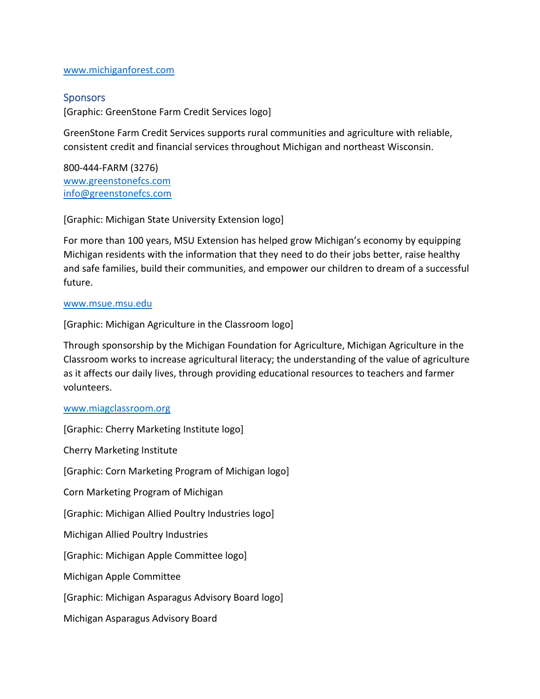#### [www.michiganforest.com](http://www.michiganforest.com/)

# <span id="page-27-0"></span>**Sponsors**

[Graphic: GreenStone Farm Credit Services logo]

GreenStone Farm Credit Services supports rural communities and agriculture with reliable, consistent credit and financial services throughout Michigan and northeast Wisconsin.

800-444-FARM (3276) [www.greenstonefcs.com](http://www.greenstonefcs.com/) [info@greenstonefcs.com](mailto:info@greenstonefcs.com)

[Graphic: Michigan State University Extension logo]

For more than 100 years, MSU Extension has helped grow Michigan's economy by equipping Michigan residents with the information that they need to do their jobs better, raise healthy and safe families, build their communities, and empower our children to dream of a successful future.

#### [www.msue.msu.edu](http://www.msue.msu.edu/)

[Graphic: Michigan Agriculture in the Classroom logo]

Through sponsorship by the Michigan Foundation for Agriculture, Michigan Agriculture in the Classroom works to increase agricultural literacy; the understanding of the value of agriculture as it affects our daily lives, through providing educational resources to teachers and farmer volunteers.

#### [www.miagclassroom.org](http://www.miagclassroom.org/)

[Graphic: Cherry Marketing Institute logo] Cherry Marketing Institute [Graphic: Corn Marketing Program of Michigan logo] Corn Marketing Program of Michigan [Graphic: Michigan Allied Poultry Industries logo] Michigan Allied Poultry Industries [Graphic: Michigan Apple Committee logo] Michigan Apple Committee [Graphic: Michigan Asparagus Advisory Board logo] Michigan Asparagus Advisory Board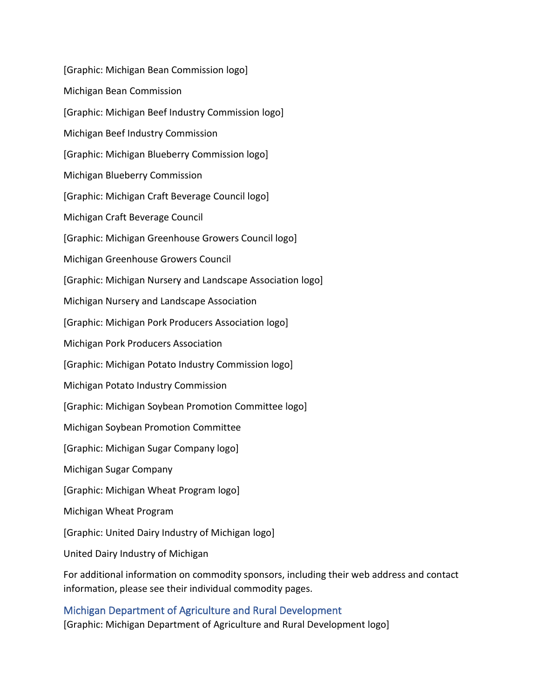[Graphic: Michigan Bean Commission logo] Michigan Bean Commission [Graphic: Michigan Beef Industry Commission logo] Michigan Beef Industry Commission [Graphic: Michigan Blueberry Commission logo] Michigan Blueberry Commission [Graphic: Michigan Craft Beverage Council logo] Michigan Craft Beverage Council [Graphic: Michigan Greenhouse Growers Council logo] Michigan Greenhouse Growers Council [Graphic: Michigan Nursery and Landscape Association logo] Michigan Nursery and Landscape Association [Graphic: Michigan Pork Producers Association logo] Michigan Pork Producers Association [Graphic: Michigan Potato Industry Commission logo] Michigan Potato Industry Commission [Graphic: Michigan Soybean Promotion Committee logo] Michigan Soybean Promotion Committee [Graphic: Michigan Sugar Company logo] Michigan Sugar Company [Graphic: Michigan Wheat Program logo] Michigan Wheat Program [Graphic: United Dairy Industry of Michigan logo] United Dairy Industry of Michigan

For additional information on commodity sponsors, including their web address and contact information, please see their individual commodity pages.

# <span id="page-28-0"></span>Michigan Department of Agriculture and Rural Development

[Graphic: Michigan Department of Agriculture and Rural Development logo]